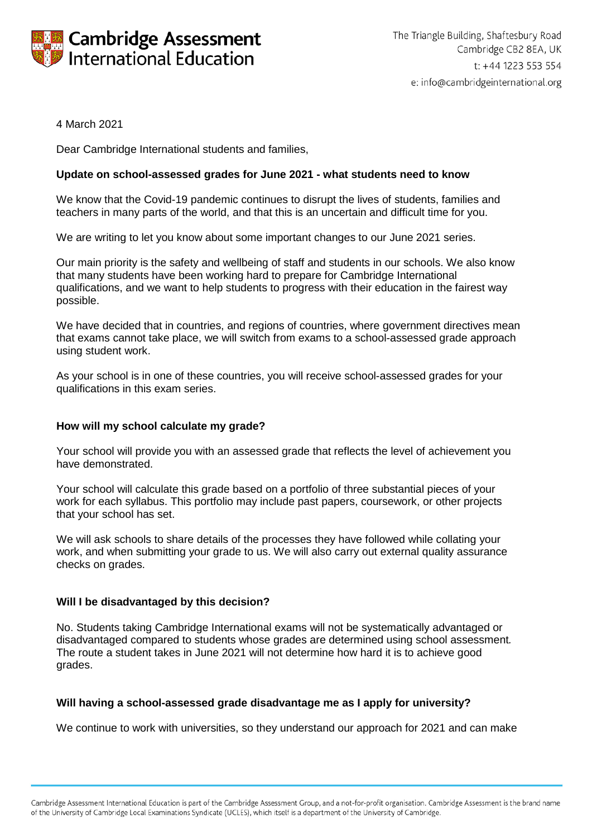

# 4 March 2021

Dear Cambridge International students and families,

## **Update on school-assessed grades for June 2021 - what students need to know**

We know that the Covid-19 pandemic continues to disrupt the lives of students, families and teachers in many parts of the world, and that this is an uncertain and difficult time for you.

We are writing to let you know about some important changes to our June 2021 series.

Our main priority is the safety and wellbeing of staff and students in our schools. We also know that many students have been working hard to prepare for Cambridge International qualifications, and we want to help students to progress with their education in the fairest way possible.

We have decided that in countries, and regions of countries, where government directives mean that exams cannot take place, we will switch from exams to a school-assessed grade approach using student work.

As your school is in one of these countries, you will receive school-assessed grades for your qualifications in this exam series.

## **How will my school calculate my grade?**

Your school will provide you with an assessed grade that reflects the level of achievement you have demonstrated.

Your school will calculate this grade based on a portfolio of three substantial pieces of your work for each syllabus. This portfolio may include past papers, coursework, or other projects that your school has set.

We will ask schools to share details of the processes they have followed while collating your work, and when submitting your grade to us. We will also carry out external quality assurance checks on grades.

## **Will I be disadvantaged by this decision?**

No. Students taking Cambridge International exams will not be systematically advantaged or disadvantaged compared to students whose grades are determined using school assessment*.* The route a student takes in June 2021 will not determine how hard it is to achieve good grades.

## **Will having a school-assessed grade disadvantage me as I apply for university?**

We continue to work with universities, so they understand our approach for 2021 and can make